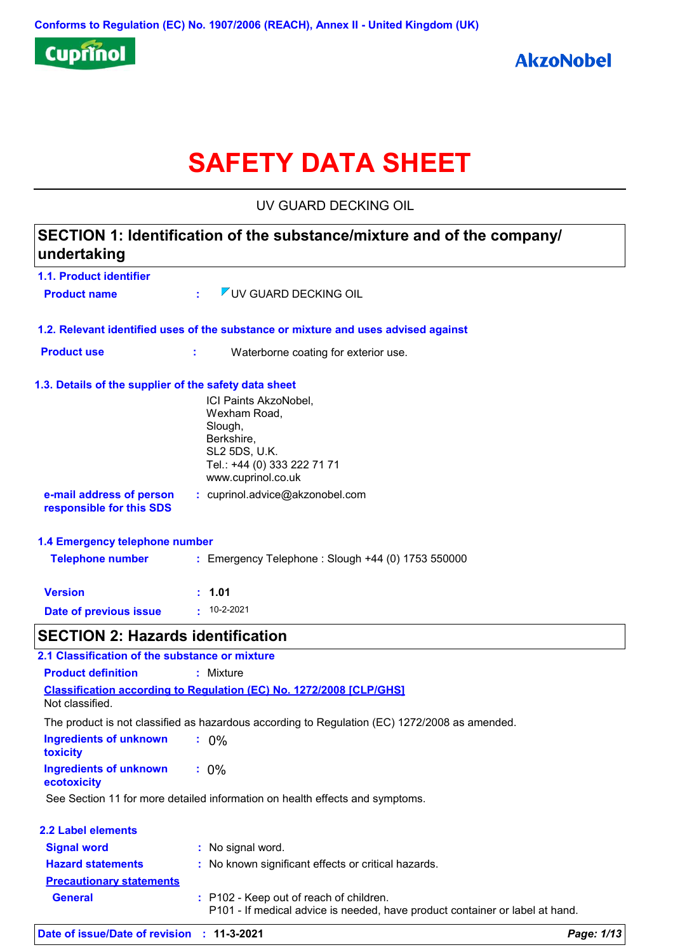

# **SAFETY DATA SHEET**

UV GUARD DECKING OIL

| undertaking                                           | SECTION 1: Identification of the substance/mixture and of the company/                                                               |
|-------------------------------------------------------|--------------------------------------------------------------------------------------------------------------------------------------|
| 1.1. Product identifier                               |                                                                                                                                      |
| <b>Product name</b>                                   | VUV GUARD DECKING OIL<br>÷.                                                                                                          |
|                                                       | 1.2. Relevant identified uses of the substance or mixture and uses advised against                                                   |
| <b>Product use</b>                                    | Waterborne coating for exterior use.<br>÷                                                                                            |
| 1.3. Details of the supplier of the safety data sheet | ICI Paints AkzoNobel,<br>Wexham Road,<br>Slough,<br>Berkshire,<br>SL2 5DS, U.K.<br>Tel.: +44 (0) 333 222 71 71<br>www.cuprinol.co.uk |
| e-mail address of person<br>responsible for this SDS  | : cuprinol.advice@akzonobel.com                                                                                                      |
| 1.4 Emergency telephone number                        |                                                                                                                                      |
| <b>Telephone number</b>                               | : Emergency Telephone : Slough +44 (0) 1753 550000                                                                                   |
| <b>Version</b>                                        | : 1.01                                                                                                                               |
| <b>Date of previous issue</b>                         | $: 10 - 2 - 2021$                                                                                                                    |
| <b>SECTION 2: Hazards identification</b>              |                                                                                                                                      |
| 2.1 Classification of the substance or mixture        |                                                                                                                                      |
| <b>Product definition</b>                             | : Mixture                                                                                                                            |
| Not classified.                                       | <b>Classification according to Regulation (EC) No. 1272/2008 [CLP/GHS]</b>                                                           |
|                                                       | The product is not classified as hazardous according to Regulation (EC) 1272/2008 as amended.                                        |
| <b>Ingredients of unknown</b><br>toxicity             | $: 0\%$                                                                                                                              |
| <b>Ingredients of unknown</b><br>ecotoxicity          | $: 0\%$                                                                                                                              |
|                                                       | See Section 11 for more detailed information on health effects and symptoms.                                                         |
| <b>2.2 Label elements</b>                             |                                                                                                                                      |
| <b>Signal word</b>                                    | : No signal word.                                                                                                                    |
| <b>Hazard statements</b>                              | : No known significant effects or critical hazards.                                                                                  |
| <b>Precautionary statements</b>                       |                                                                                                                                      |
| <b>General</b>                                        | : P102 - Keep out of reach of children.<br>P101 - If medical advice is needed, have product container or label at hand.              |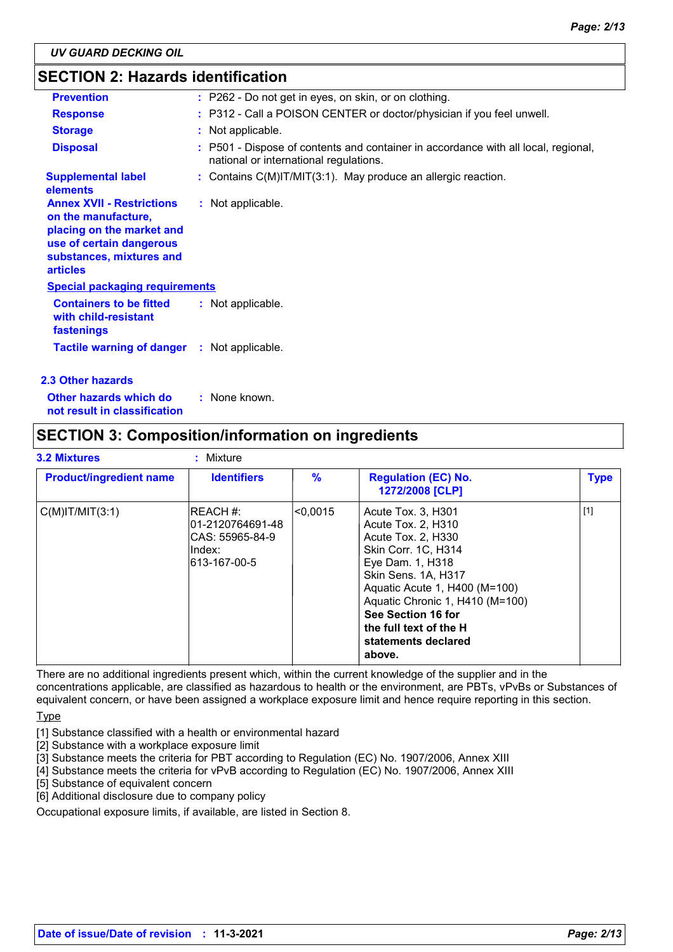### **SECTION 2: Hazards identification**

| <b>Prevention</b>                                                                                                                                               | : P262 - Do not get in eyes, on skin, or on clothing.                                                                        |
|-----------------------------------------------------------------------------------------------------------------------------------------------------------------|------------------------------------------------------------------------------------------------------------------------------|
| <b>Response</b>                                                                                                                                                 | : P312 - Call a POISON CENTER or doctor/physician if you feel unwell.                                                        |
| <b>Storage</b>                                                                                                                                                  | : Not applicable.                                                                                                            |
| <b>Disposal</b>                                                                                                                                                 | : P501 - Dispose of contents and container in accordance with all local, regional,<br>national or international regulations. |
| <b>Supplemental label</b><br>elements                                                                                                                           | : Contains C(M)IT/MIT(3:1). May produce an allergic reaction.                                                                |
| <b>Annex XVII - Restrictions</b><br>on the manufacture,<br>placing on the market and<br>use of certain dangerous<br>substances, mixtures and<br><b>articles</b> | : Not applicable.                                                                                                            |
| <b>Special packaging requirements</b>                                                                                                                           |                                                                                                                              |
| <b>Containers to be fitted</b><br>with child-resistant<br>fastenings                                                                                            | : Not applicable.                                                                                                            |
| <b>Tactile warning of danger : Not applicable.</b>                                                                                                              |                                                                                                                              |
| 2.3 Other hazards                                                                                                                                               |                                                                                                                              |

**Other hazards which do : not result in classification** : None known.

### **SECTION 3: Composition/information on ingredients**

| <b>3.2 Mixtures</b>            | : Mixture                                                                     |               |                                                                                                                                                                                                                                                                                       |             |
|--------------------------------|-------------------------------------------------------------------------------|---------------|---------------------------------------------------------------------------------------------------------------------------------------------------------------------------------------------------------------------------------------------------------------------------------------|-------------|
| <b>Product/ingredient name</b> | <b>Identifiers</b>                                                            | $\frac{9}{6}$ | <b>Regulation (EC) No.</b><br>1272/2008 [CLP]                                                                                                                                                                                                                                         | <b>Type</b> |
| $C(M)$ IT/MIT $(3:1)$          | IREACH #:<br>l01-2120764691-48<br>ICAS: 55965-84-9<br>lIndex:<br>613-167-00-5 | <0.0015       | Acute Tox. 3, H301<br>Acute Tox. 2, H310<br>Acute Tox. 2, H330<br>Skin Corr. 1C, H314<br>Eye Dam. 1, H318<br>Skin Sens. 1A, H317<br>Aquatic Acute 1, H400 (M=100)<br>Aquatic Chronic 1, H410 (M=100)<br>See Section 16 for<br>the full text of the H<br>statements declared<br>above. | $[1]$       |

There are no additional ingredients present which, within the current knowledge of the supplier and in the concentrations applicable, are classified as hazardous to health or the environment, are PBTs, vPvBs or Substances of equivalent concern, or have been assigned a workplace exposure limit and hence require reporting in this section.

**Type** 

[1] Substance classified with a health or environmental hazard

[2] Substance with a workplace exposure limit

[3] Substance meets the criteria for PBT according to Regulation (EC) No. 1907/2006, Annex XIII

[4] Substance meets the criteria for vPvB according to Regulation (EC) No. 1907/2006, Annex XIII

[5] Substance of equivalent concern

[6] Additional disclosure due to company policy

Occupational exposure limits, if available, are listed in Section 8.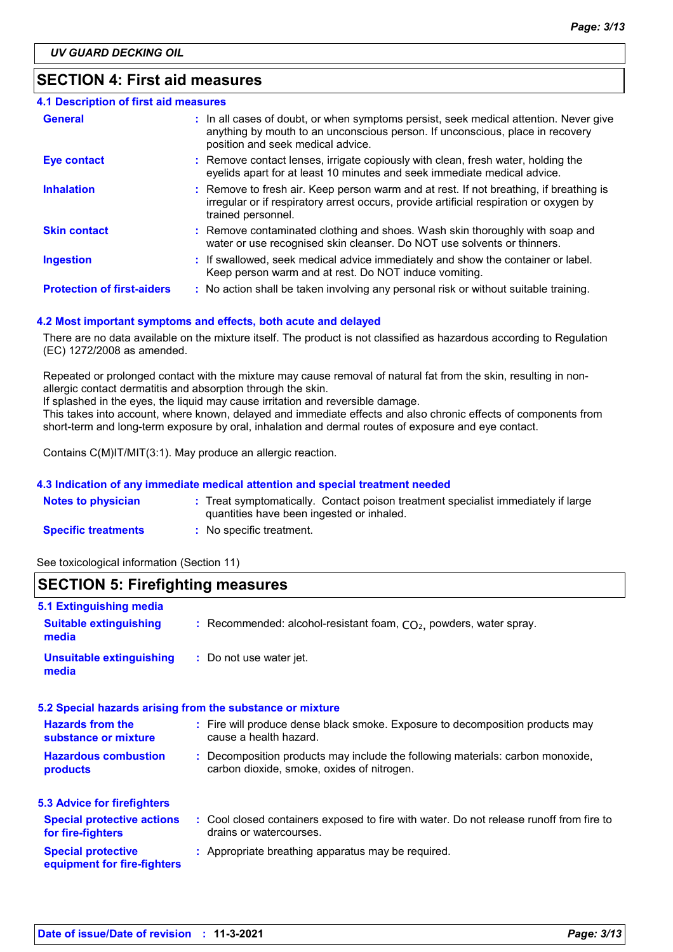### **SECTION 4: First aid measures**

| <b>4.1 Description of first aid measures</b> |                                                                                                                                                                                                             |
|----------------------------------------------|-------------------------------------------------------------------------------------------------------------------------------------------------------------------------------------------------------------|
| <b>General</b>                               | : In all cases of doubt, or when symptoms persist, seek medical attention. Never give<br>anything by mouth to an unconscious person. If unconscious, place in recovery<br>position and seek medical advice. |
| <b>Eye contact</b>                           | : Remove contact lenses, irrigate copiously with clean, fresh water, holding the<br>eyelids apart for at least 10 minutes and seek immediate medical advice.                                                |
| <b>Inhalation</b>                            | : Remove to fresh air. Keep person warm and at rest. If not breathing, if breathing is<br>irregular or if respiratory arrest occurs, provide artificial respiration or oxygen by<br>trained personnel.      |
| <b>Skin contact</b>                          | : Remove contaminated clothing and shoes. Wash skin thoroughly with soap and<br>water or use recognised skin cleanser. Do NOT use solvents or thinners.                                                     |
| <b>Ingestion</b>                             | : If swallowed, seek medical advice immediately and show the container or label.<br>Keep person warm and at rest. Do NOT induce vomiting.                                                                   |
| <b>Protection of first-aiders</b>            | : No action shall be taken involving any personal risk or without suitable training.                                                                                                                        |

#### **4.2 Most important symptoms and effects, both acute and delayed**

There are no data available on the mixture itself. The product is not classified as hazardous according to Regulation (EC) 1272/2008 as amended.

Repeated or prolonged contact with the mixture may cause removal of natural fat from the skin, resulting in nonallergic contact dermatitis and absorption through the skin.

If splashed in the eyes, the liquid may cause irritation and reversible damage.

This takes into account, where known, delayed and immediate effects and also chronic effects of components from short-term and long-term exposure by oral, inhalation and dermal routes of exposure and eye contact.

Contains C(M)IT/MIT(3:1). May produce an allergic reaction.

#### **4.3 Indication of any immediate medical attention and special treatment needed**

| <b>Notes to physician</b>  | Treat symptomatically. Contact poison treatment specialist immediately if large |
|----------------------------|---------------------------------------------------------------------------------|
|                            | quantities have been ingested or inhaled.                                       |
| <b>Specific treatments</b> | No specific treatment.                                                          |

See toxicological information (Section 11)

### **SECTION 5: Firefighting measures**

| 5.1 Extinguishing media                                  |                                                                                                                              |
|----------------------------------------------------------|------------------------------------------------------------------------------------------------------------------------------|
| <b>Suitable extinguishing</b><br>media                   | : Recommended: alcohol-resistant foam, $CO2$ , powders, water spray.                                                         |
| <b>Unsuitable extinguishing</b><br>media                 | : Do not use water jet.                                                                                                      |
|                                                          | 5.2 Special hazards arising from the substance or mixture                                                                    |
| <b>Hazards from the</b><br>substance or mixture          | : Fire will produce dense black smoke. Exposure to decomposition products may<br>cause a health hazard.                      |
| <b>Hazardous combustion</b><br>products                  | : Decomposition products may include the following materials: carbon monoxide,<br>carbon dioxide, smoke, oxides of nitrogen. |
| <b>5.3 Advice for firefighters</b>                       |                                                                                                                              |
| <b>Special protective actions</b><br>for fire-fighters   | : Cool closed containers exposed to fire with water. Do not release runoff from fire to<br>drains or watercourses.           |
| <b>Special protective</b><br>equipment for fire-fighters | : Appropriate breathing apparatus may be required.                                                                           |
|                                                          |                                                                                                                              |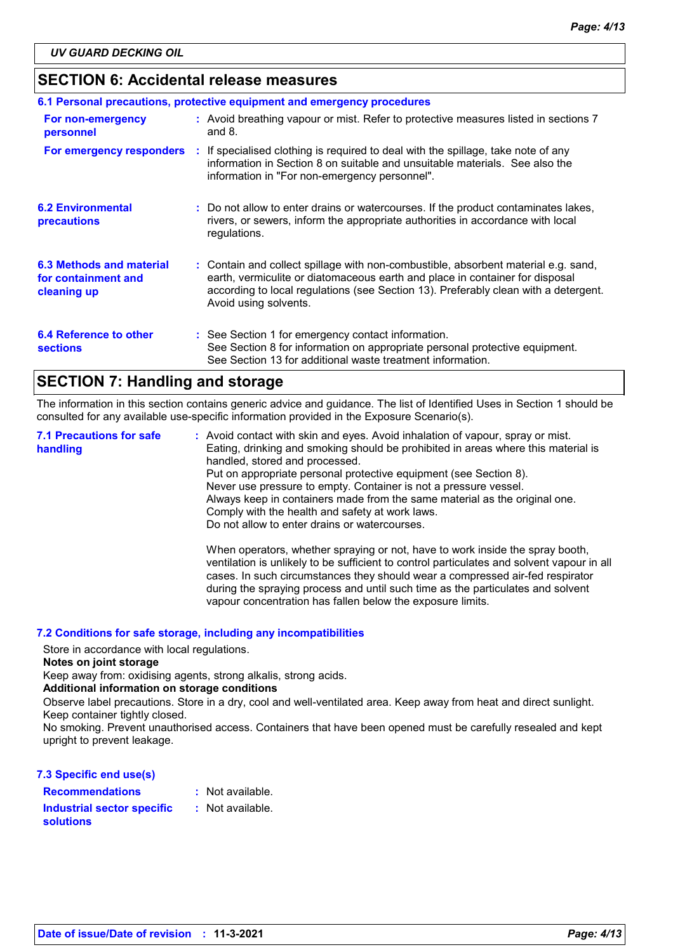### **SECTION 6: Accidental release measures**

| 6.1 Personal precautions, protective equipment and emergency procedures |  |                                                                                                                                                                                                                                                                                    |  |
|-------------------------------------------------------------------------|--|------------------------------------------------------------------------------------------------------------------------------------------------------------------------------------------------------------------------------------------------------------------------------------|--|
| For non-emergency<br>personnel                                          |  | : Avoid breathing vapour or mist. Refer to protective measures listed in sections 7<br>and $8.$                                                                                                                                                                                    |  |
| For emergency responders                                                |  | : If specialised clothing is required to deal with the spillage, take note of any<br>information in Section 8 on suitable and unsuitable materials. See also the<br>information in "For non-emergency personnel".                                                                  |  |
| <b>6.2 Environmental</b><br>precautions                                 |  | : Do not allow to enter drains or watercourses. If the product contaminates lakes,<br>rivers, or sewers, inform the appropriate authorities in accordance with local<br>regulations.                                                                                               |  |
| 6.3 Methods and material<br>for containment and<br>cleaning up          |  | : Contain and collect spillage with non-combustible, absorbent material e.g. sand,<br>earth, vermiculite or diatomaceous earth and place in container for disposal<br>according to local regulations (see Section 13). Preferably clean with a detergent.<br>Avoid using solvents. |  |
| 6.4 Reference to other<br><b>sections</b>                               |  | : See Section 1 for emergency contact information.<br>See Section 8 for information on appropriate personal protective equipment.<br>See Section 13 for additional waste treatment information.                                                                                    |  |

### **SECTION 7: Handling and storage**

The information in this section contains generic advice and guidance. The list of Identified Uses in Section 1 should be consulted for any available use-specific information provided in the Exposure Scenario(s).

Avoid contact with skin and eyes. Avoid inhalation of vapour, spray or mist. **:** Eating, drinking and smoking should be prohibited in areas where this material is handled, stored and processed. Put on appropriate personal protective equipment (see Section 8). Never use pressure to empty. Container is not a pressure vessel. Always keep in containers made from the same material as the original one. Comply with the health and safety at work laws. Do not allow to enter drains or watercourses. When operators, whether spraying or not, have to work inside the spray booth, ventilation is unlikely to be sufficient to control particulates and solvent vapour in all cases. In such circumstances they should wear a compressed air-fed respirator **7.1 Precautions for safe handling**

during the spraying process and until such time as the particulates and solvent

vapour concentration has fallen below the exposure limits.

#### **7.2 Conditions for safe storage, including any incompatibilities**

Store in accordance with local regulations.

#### **Notes on joint storage**

Keep away from: oxidising agents, strong alkalis, strong acids.

#### **Additional information on storage conditions**

Observe label precautions. Store in a dry, cool and well-ventilated area. Keep away from heat and direct sunlight. Keep container tightly closed.

No smoking. Prevent unauthorised access. Containers that have been opened must be carefully resealed and kept upright to prevent leakage.

#### **7.3 Specific end use(s)**

| : Not available. |
|------------------|
| : Not available. |
|                  |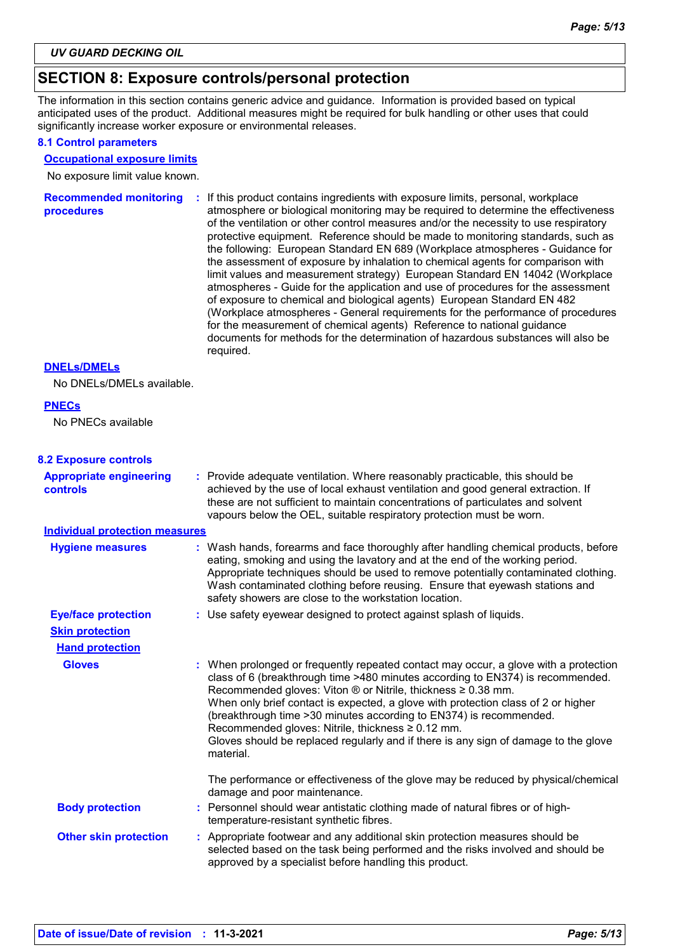### **SECTION 8: Exposure controls/personal protection**

The information in this section contains generic advice and guidance. Information is provided based on typical anticipated uses of the product. Additional measures might be required for bulk handling or other uses that could significantly increase worker exposure or environmental releases.

#### **8.1 Control parameters**

#### **Occupational exposure limits**

No exposure limit value known.

| <b>Recommended monitoring</b><br><b>procedures</b> | If this product contains ingredients with exposure limits, personal, workplace<br>÷.<br>atmosphere or biological monitoring may be required to determine the effectiveness<br>of the ventilation or other control measures and/or the necessity to use respiratory<br>protective equipment. Reference should be made to monitoring standards, such as<br>the following: European Standard EN 689 (Workplace atmospheres - Guidance for<br>the assessment of exposure by inhalation to chemical agents for comparison with<br>limit values and measurement strategy) European Standard EN 14042 (Workplace<br>atmospheres - Guide for the application and use of procedures for the assessment<br>of exposure to chemical and biological agents) European Standard EN 482<br>(Workplace atmospheres - General requirements for the performance of procedures<br>for the measurement of chemical agents) Reference to national guidance<br>documents for methods for the determination of hazardous substances will also be<br>required. |
|----------------------------------------------------|----------------------------------------------------------------------------------------------------------------------------------------------------------------------------------------------------------------------------------------------------------------------------------------------------------------------------------------------------------------------------------------------------------------------------------------------------------------------------------------------------------------------------------------------------------------------------------------------------------------------------------------------------------------------------------------------------------------------------------------------------------------------------------------------------------------------------------------------------------------------------------------------------------------------------------------------------------------------------------------------------------------------------------------|
|----------------------------------------------------|----------------------------------------------------------------------------------------------------------------------------------------------------------------------------------------------------------------------------------------------------------------------------------------------------------------------------------------------------------------------------------------------------------------------------------------------------------------------------------------------------------------------------------------------------------------------------------------------------------------------------------------------------------------------------------------------------------------------------------------------------------------------------------------------------------------------------------------------------------------------------------------------------------------------------------------------------------------------------------------------------------------------------------------|

#### **DNELs/DMELs**

No DNELs/DMELs available.

#### **PNECs**

No PNECs available

#### **8.2 Exposure controls**

| <b>Appropriate engineering</b><br><b>controls</b> | : Provide adequate ventilation. Where reasonably practicable, this should be<br>achieved by the use of local exhaust ventilation and good general extraction. If<br>these are not sufficient to maintain concentrations of particulates and solvent<br>vapours below the OEL, suitable respiratory protection must be worn.                                                                                                                                                                                                                                                |
|---------------------------------------------------|----------------------------------------------------------------------------------------------------------------------------------------------------------------------------------------------------------------------------------------------------------------------------------------------------------------------------------------------------------------------------------------------------------------------------------------------------------------------------------------------------------------------------------------------------------------------------|
| <b>Individual protection measures</b>             |                                                                                                                                                                                                                                                                                                                                                                                                                                                                                                                                                                            |
| <b>Hygiene measures</b>                           | : Wash hands, forearms and face thoroughly after handling chemical products, before<br>eating, smoking and using the lavatory and at the end of the working period.<br>Appropriate techniques should be used to remove potentially contaminated clothing.<br>Wash contaminated clothing before reusing. Ensure that eyewash stations and<br>safety showers are close to the workstation location.                                                                                                                                                                          |
| <b>Eye/face protection</b>                        | : Use safety eyewear designed to protect against splash of liquids.                                                                                                                                                                                                                                                                                                                                                                                                                                                                                                        |
| <b>Skin protection</b>                            |                                                                                                                                                                                                                                                                                                                                                                                                                                                                                                                                                                            |
| <b>Hand protection</b>                            |                                                                                                                                                                                                                                                                                                                                                                                                                                                                                                                                                                            |
| <b>Gloves</b>                                     | : When prolonged or frequently repeated contact may occur, a glove with a protection<br>class of 6 (breakthrough time >480 minutes according to EN374) is recommended.<br>Recommended gloves: Viton $\circledR$ or Nitrile, thickness $\geq 0.38$ mm.<br>When only brief contact is expected, a glove with protection class of 2 or higher<br>(breakthrough time > 30 minutes according to EN374) is recommended.<br>Recommended gloves: Nitrile, thickness ≥ 0.12 mm.<br>Gloves should be replaced regularly and if there is any sign of damage to the glove<br>material. |
|                                                   | The performance or effectiveness of the glove may be reduced by physical/chemical<br>damage and poor maintenance.                                                                                                                                                                                                                                                                                                                                                                                                                                                          |
| <b>Body protection</b>                            | : Personnel should wear antistatic clothing made of natural fibres or of high-<br>temperature-resistant synthetic fibres.                                                                                                                                                                                                                                                                                                                                                                                                                                                  |
| <b>Other skin protection</b>                      | : Appropriate footwear and any additional skin protection measures should be<br>selected based on the task being performed and the risks involved and should be<br>approved by a specialist before handling this product.                                                                                                                                                                                                                                                                                                                                                  |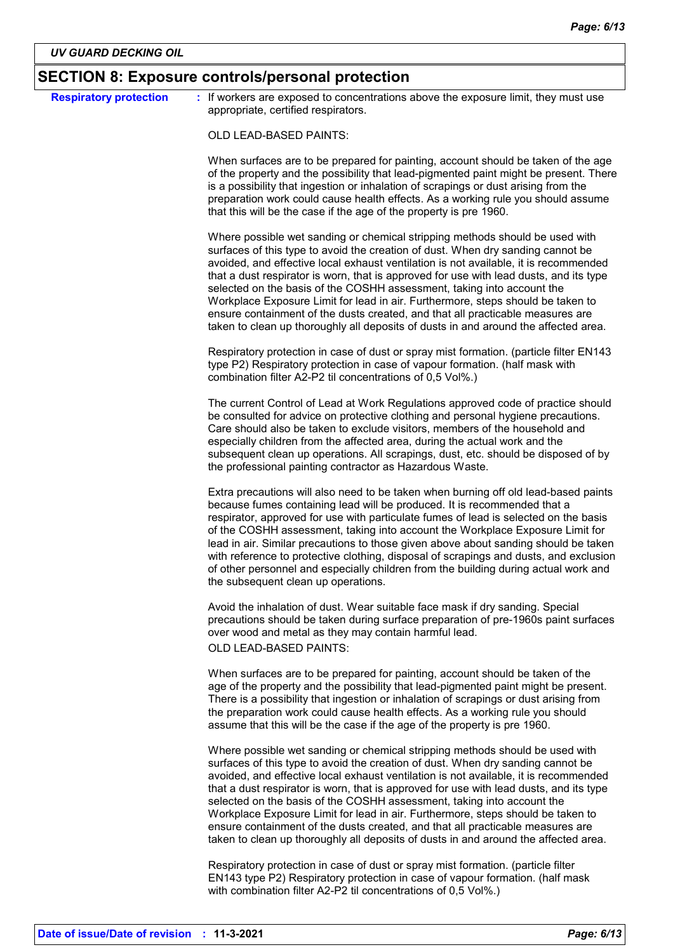| <b>Respiratory protection</b> | : If workers are exposed to concentrations above the exposure limit, they must use<br>appropriate, certified respirators.                                                                                                                                                                                                                                                                                                                                                                                                                                                                                                                                                               |
|-------------------------------|-----------------------------------------------------------------------------------------------------------------------------------------------------------------------------------------------------------------------------------------------------------------------------------------------------------------------------------------------------------------------------------------------------------------------------------------------------------------------------------------------------------------------------------------------------------------------------------------------------------------------------------------------------------------------------------------|
|                               |                                                                                                                                                                                                                                                                                                                                                                                                                                                                                                                                                                                                                                                                                         |
|                               | OLD LEAD-BASED PAINTS:                                                                                                                                                                                                                                                                                                                                                                                                                                                                                                                                                                                                                                                                  |
|                               | When surfaces are to be prepared for painting, account should be taken of the age<br>of the property and the possibility that lead-pigmented paint might be present. There<br>is a possibility that ingestion or inhalation of scrapings or dust arising from the<br>preparation work could cause health effects. As a working rule you should assume<br>that this will be the case if the age of the property is pre 1960.                                                                                                                                                                                                                                                             |
|                               | Where possible wet sanding or chemical stripping methods should be used with<br>surfaces of this type to avoid the creation of dust. When dry sanding cannot be<br>avoided, and effective local exhaust ventilation is not available, it is recommended<br>that a dust respirator is worn, that is approved for use with lead dusts, and its type<br>selected on the basis of the COSHH assessment, taking into account the<br>Workplace Exposure Limit for lead in air. Furthermore, steps should be taken to<br>ensure containment of the dusts created, and that all practicable measures are<br>taken to clean up thoroughly all deposits of dusts in and around the affected area. |
|                               | Respiratory protection in case of dust or spray mist formation. (particle filter EN143<br>type P2) Respiratory protection in case of vapour formation. (half mask with<br>combination filter A2-P2 til concentrations of 0,5 Vol%.)                                                                                                                                                                                                                                                                                                                                                                                                                                                     |
|                               | The current Control of Lead at Work Regulations approved code of practice should<br>be consulted for advice on protective clothing and personal hygiene precautions.<br>Care should also be taken to exclude visitors, members of the household and<br>especially children from the affected area, during the actual work and the<br>subsequent clean up operations. All scrapings, dust, etc. should be disposed of by<br>the professional painting contractor as Hazardous Waste.                                                                                                                                                                                                     |
|                               | Extra precautions will also need to be taken when burning off old lead-based paints<br>because fumes containing lead will be produced. It is recommended that a<br>respirator, approved for use with particulate fumes of lead is selected on the basis<br>of the COSHH assessment, taking into account the Workplace Exposure Limit for<br>lead in air. Similar precautions to those given above about sanding should be taken<br>with reference to protective clothing, disposal of scrapings and dusts, and exclusion<br>of other personnel and especially children from the building during actual work and<br>the subsequent clean up operations.                                  |
|                               | Avoid the inhalation of dust. Wear suitable face mask if dry sanding. Special<br>precautions should be taken during surface preparation of pre-1960s paint surfaces<br>over wood and metal as they may contain harmful lead.<br>OLD LEAD-BASED PAINTS:                                                                                                                                                                                                                                                                                                                                                                                                                                  |
|                               | When surfaces are to be prepared for painting, account should be taken of the<br>age of the property and the possibility that lead-pigmented paint might be present.<br>There is a possibility that ingestion or inhalation of scrapings or dust arising from<br>the preparation work could cause health effects. As a working rule you should<br>assume that this will be the case if the age of the property is pre 1960.                                                                                                                                                                                                                                                             |
|                               | Where possible wet sanding or chemical stripping methods should be used with<br>surfaces of this type to avoid the creation of dust. When dry sanding cannot be<br>avoided, and effective local exhaust ventilation is not available, it is recommended<br>that a dust respirator is worn, that is approved for use with lead dusts, and its type<br>selected on the basis of the COSHH assessment, taking into account the<br>Workplace Exposure Limit for lead in air. Furthermore, steps should be taken to<br>ensure containment of the dusts created, and that all practicable measures are<br>taken to clean up thoroughly all deposits of dusts in and around the affected area. |
|                               | Respiratory protection in case of dust or spray mist formation. (particle filter<br>EN143 type P2) Respiratory protection in case of vapour formation. (half mask                                                                                                                                                                                                                                                                                                                                                                                                                                                                                                                       |

with combination filter A2-P2 til concentrations of 0,5 Vol%.)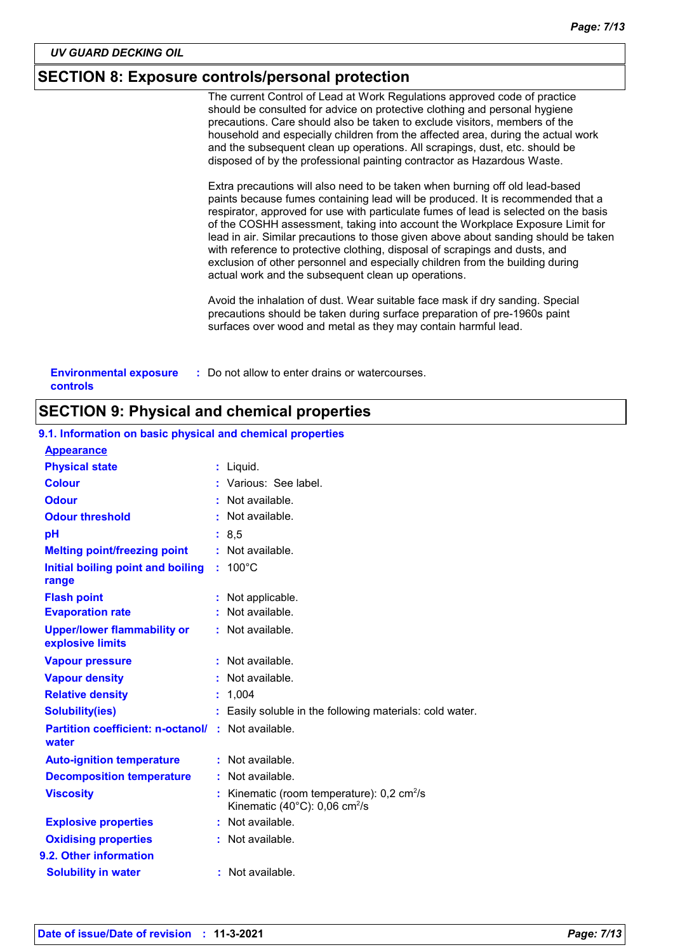### **SECTION 8: Exposure controls/personal protection**

The current Control of Lead at Work Regulations approved code of practice should be consulted for advice on protective clothing and personal hygiene precautions. Care should also be taken to exclude visitors, members of the household and especially children from the affected area, during the actual work and the subsequent clean up operations. All scrapings, dust, etc. should be disposed of by the professional painting contractor as Hazardous Waste.

Extra precautions will also need to be taken when burning off old lead-based paints because fumes containing lead will be produced. It is recommended that a respirator, approved for use with particulate fumes of lead is selected on the basis of the COSHH assessment, taking into account the Workplace Exposure Limit for lead in air. Similar precautions to those given above about sanding should be taken with reference to protective clothing, disposal of scrapings and dusts, and exclusion of other personnel and especially children from the building during actual work and the subsequent clean up operations.

Avoid the inhalation of dust. Wear suitable face mask if dry sanding. Special precautions should be taken during surface preparation of pre-1960s paint surfaces over wood and metal as they may contain harmful lead.

| <b>Environmental exposure</b> | : Do not allow to enter drains or watercourses. |
|-------------------------------|-------------------------------------------------|
| controls                      |                                                 |

#### **SECTION 9: Physical and chemical properties**

| <b>Appearance</b>                                                 |                                                                                                                     |
|-------------------------------------------------------------------|---------------------------------------------------------------------------------------------------------------------|
| <b>Physical state</b>                                             | : Liquid.                                                                                                           |
| <b>Colour</b>                                                     | : Various: See label.                                                                                               |
| <b>Odour</b>                                                      | : Not available.                                                                                                    |
| <b>Odour threshold</b>                                            | $:$ Not available.                                                                                                  |
| pH                                                                | : 8, 5                                                                                                              |
| <b>Melting point/freezing point</b>                               | : Not available.                                                                                                    |
| Initial boiling point and boiling<br>range                        | $: 100^{\circ}$ C                                                                                                   |
| <b>Flash point</b>                                                | : Not applicable.                                                                                                   |
| <b>Evaporation rate</b>                                           | : Not available.                                                                                                    |
| <b>Upper/lower flammability or</b><br>explosive limits            | : Not available.                                                                                                    |
| <b>Vapour pressure</b>                                            | $:$ Not available.                                                                                                  |
| <b>Vapour density</b>                                             | : Not available.                                                                                                    |
| <b>Relative density</b>                                           | : 1,004                                                                                                             |
| <b>Solubility(ies)</b>                                            | : Easily soluble in the following materials: cold water.                                                            |
| <b>Partition coefficient: n-octanol/: Not available.</b><br>water |                                                                                                                     |
| <b>Auto-ignition temperature</b>                                  | : Not available.                                                                                                    |
| <b>Decomposition temperature</b>                                  | : Not available.                                                                                                    |
| <b>Viscosity</b>                                                  | : Kinematic (room temperature): $0.2 \text{ cm}^2/\text{s}$<br>Kinematic (40 $^{\circ}$ C): 0,06 cm <sup>2</sup> /s |
| <b>Explosive properties</b>                                       | : Not available.                                                                                                    |
| <b>Oxidising properties</b>                                       | : Not available.                                                                                                    |
| 9.2. Other information                                            |                                                                                                                     |
| <b>Solubility in water</b>                                        | : Not available.                                                                                                    |

### **9.1. Information on basic physical and chemical properties**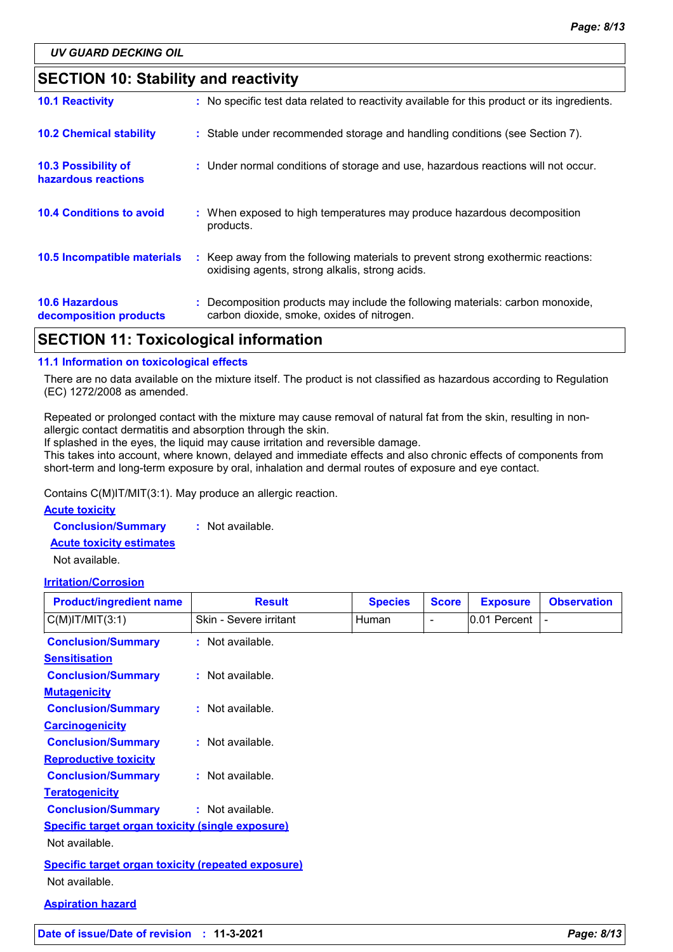### **SECTION 10: Stability and reactivity**

| APATIAN JJ T I I I I I C I II                   |                                                                                                                                     |
|-------------------------------------------------|-------------------------------------------------------------------------------------------------------------------------------------|
| <b>10.6 Hazardous</b><br>decomposition products | : Decomposition products may include the following materials: carbon monoxide,<br>carbon dioxide, smoke, oxides of nitrogen.        |
| 10.5 Incompatible materials                     | : Keep away from the following materials to prevent strong exothermic reactions:<br>oxidising agents, strong alkalis, strong acids. |
| <b>10.4 Conditions to avoid</b>                 | : When exposed to high temperatures may produce hazardous decomposition<br>products.                                                |
| 10.3 Possibility of<br>hazardous reactions      | : Under normal conditions of storage and use, hazardous reactions will not occur.                                                   |
| <b>10.2 Chemical stability</b>                  | : Stable under recommended storage and handling conditions (see Section 7).                                                         |
| <b>10.1 Reactivity</b>                          | : No specific test data related to reactivity available for this product or its ingredients.                                        |

# **SECTION 11: Toxicological information**

#### **11.1 Information on toxicological effects**

There are no data available on the mixture itself. The product is not classified as hazardous according to Regulation (EC) 1272/2008 as amended.

Repeated or prolonged contact with the mixture may cause removal of natural fat from the skin, resulting in nonallergic contact dermatitis and absorption through the skin.

If splashed in the eyes, the liquid may cause irritation and reversible damage.

This takes into account, where known, delayed and immediate effects and also chronic effects of components from short-term and long-term exposure by oral, inhalation and dermal routes of exposure and eye contact.

Contains C(M)IT/MIT(3:1). May produce an allergic reaction.

#### **Acute toxicity**

**Conclusion/Summary :** Not available.

**Acute toxicity estimates**

Not available.

#### **Irritation/Corrosion**

| <b>Product/ingredient name</b>                     | <b>Result</b>          | <b>Species</b> | <b>Score</b> | <b>Exposure</b> | <b>Observation</b> |
|----------------------------------------------------|------------------------|----------------|--------------|-----------------|--------------------|
| $C(M)$ IT/MIT $(3:1)$                              | Skin - Severe irritant | Human          | -            | 0.01 Percent    |                    |
| <b>Conclusion/Summary</b>                          | : Not available.       |                |              |                 |                    |
| <b>Sensitisation</b>                               |                        |                |              |                 |                    |
| <b>Conclusion/Summary</b>                          | : Not available.       |                |              |                 |                    |
| <b>Mutagenicity</b>                                |                        |                |              |                 |                    |
| <b>Conclusion/Summary</b>                          | : Not available.       |                |              |                 |                    |
| <b>Carcinogenicity</b>                             |                        |                |              |                 |                    |
| <b>Conclusion/Summary</b>                          | : Not available.       |                |              |                 |                    |
| <b>Reproductive toxicity</b>                       |                        |                |              |                 |                    |
| <b>Conclusion/Summary</b>                          | : Not available.       |                |              |                 |                    |
| <b>Teratogenicity</b>                              |                        |                |              |                 |                    |
| <b>Conclusion/Summary</b>                          | : Not available.       |                |              |                 |                    |
| Specific target organ toxicity (single exposure)   |                        |                |              |                 |                    |
| Not available.                                     |                        |                |              |                 |                    |
| Specific target organ toxicity (repeated exposure) |                        |                |              |                 |                    |
| Not available.                                     |                        |                |              |                 |                    |
| <b>Aspiration hazard</b>                           |                        |                |              |                 |                    |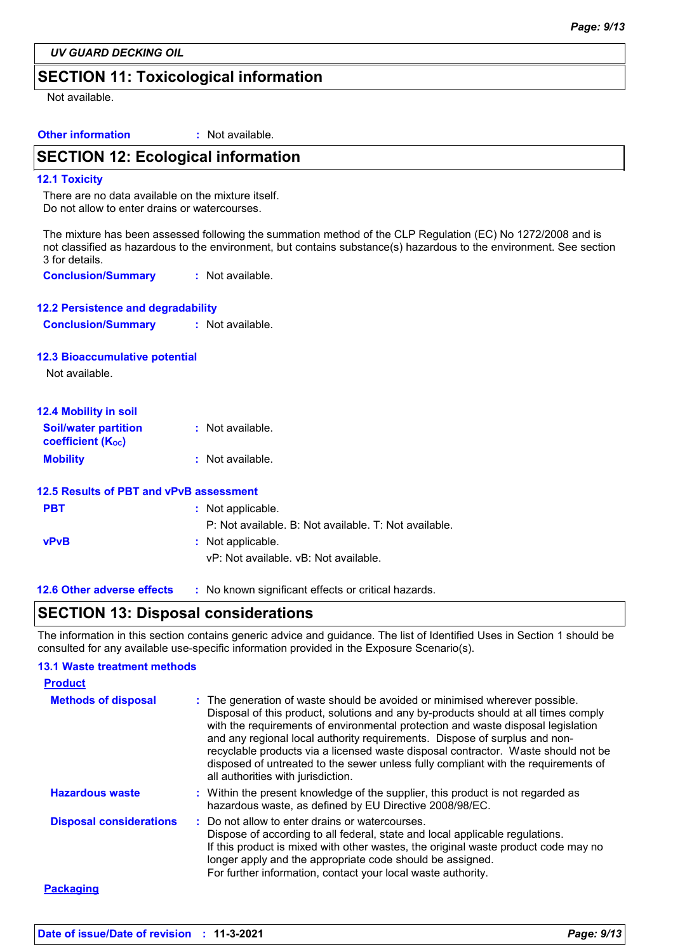*UV GUARD DECKING OIL*

### **SECTION 11: Toxicological information**

Not available.

**Other information :** : Not available.

### **SECTION 12: Ecological information**

#### **12.1 Toxicity**

There are no data available on the mixture itself. Do not allow to enter drains or watercourses.

The mixture has been assessed following the summation method of the CLP Regulation (EC) No 1272/2008 and is not classified as hazardous to the environment, but contains substance(s) hazardous to the environment. See section 3 for details.

**Conclusion/Summary :** Not available.

| <b>12.2 Persistence and degradability</b> |                  |
|-------------------------------------------|------------------|
| <b>Conclusion/Summary</b>                 | : Not available. |

#### **12.3 Bioaccumulative potential**

Not available.

| <b>12.4 Mobility in soil</b>                                         |                  |
|----------------------------------------------------------------------|------------------|
| <b>Soil/water partition</b><br><b>coefficient</b> (K <sub>oc</sub> ) | : Not available. |
| <b>Mobility</b>                                                      | : Not available. |

|             | 12.5 Results of PBT and vPvB assessment               |
|-------------|-------------------------------------------------------|
| <b>PBT</b>  | : Not applicable.                                     |
|             | P: Not available. B: Not available. T: Not available. |
| <b>vPvB</b> | : Not applicable.                                     |
|             | vP: Not available. vB: Not available.                 |
|             |                                                       |

**12.6 Other adverse effects** : No known significant effects or critical hazards.

### **SECTION 13: Disposal considerations**

The information in this section contains generic advice and guidance. The list of Identified Uses in Section 1 should be consulted for any available use-specific information provided in the Exposure Scenario(s).

#### **13.1 Waste treatment methods**

| <b>Product</b>                 |                                                                                                                                                                                                                                                                                                                                                                                                                                                                                                                                                      |
|--------------------------------|------------------------------------------------------------------------------------------------------------------------------------------------------------------------------------------------------------------------------------------------------------------------------------------------------------------------------------------------------------------------------------------------------------------------------------------------------------------------------------------------------------------------------------------------------|
| <b>Methods of disposal</b>     | : The generation of waste should be avoided or minimised wherever possible.<br>Disposal of this product, solutions and any by-products should at all times comply<br>with the requirements of environmental protection and waste disposal legislation<br>and any regional local authority requirements. Dispose of surplus and non-<br>recyclable products via a licensed waste disposal contractor. Waste should not be<br>disposed of untreated to the sewer unless fully compliant with the requirements of<br>all authorities with jurisdiction. |
| <b>Hazardous waste</b>         | : Within the present knowledge of the supplier, this product is not regarded as<br>hazardous waste, as defined by EU Directive 2008/98/EC.                                                                                                                                                                                                                                                                                                                                                                                                           |
| <b>Disposal considerations</b> | : Do not allow to enter drains or watercourses.<br>Dispose of according to all federal, state and local applicable regulations.<br>If this product is mixed with other wastes, the original waste product code may no<br>longer apply and the appropriate code should be assigned.<br>For further information, contact your local waste authority.                                                                                                                                                                                                   |
| <b>Packaging</b>               |                                                                                                                                                                                                                                                                                                                                                                                                                                                                                                                                                      |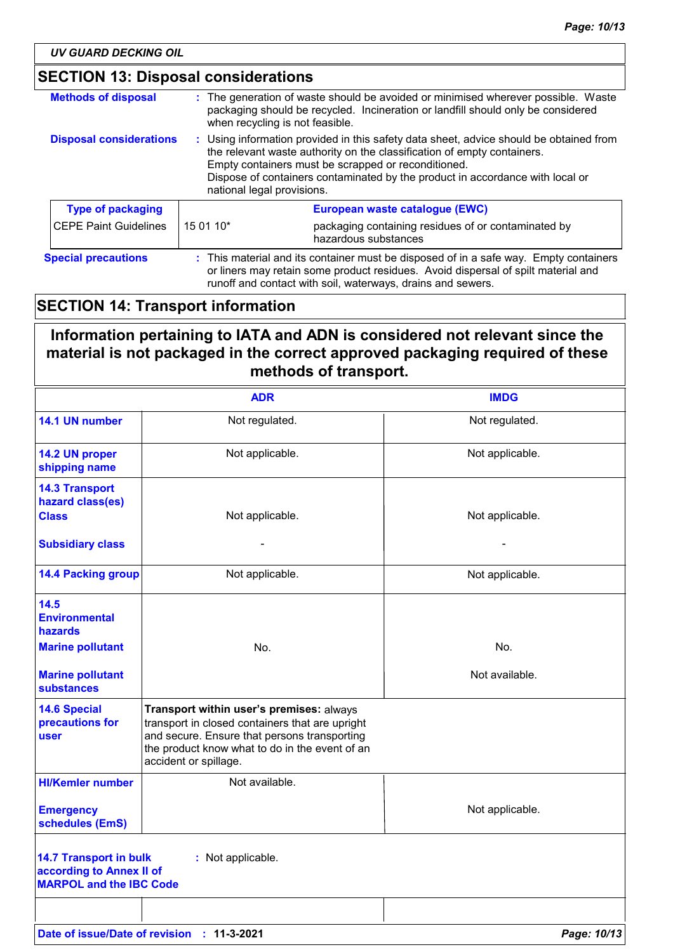| <b>Methods of disposal</b>     |                                                                                                                                                                                                                                                                                                                                         | : The generation of waste should be avoided or minimised wherever possible. Waste<br>packaging should be recycled. Incineration or landfill should only be considered<br>when recycling is not feasible. |
|--------------------------------|-----------------------------------------------------------------------------------------------------------------------------------------------------------------------------------------------------------------------------------------------------------------------------------------------------------------------------------------|----------------------------------------------------------------------------------------------------------------------------------------------------------------------------------------------------------|
| <b>Disposal considerations</b> | : Using information provided in this safety data sheet, advice should be obtained from<br>the relevant waste authority on the classification of empty containers.<br>Empty containers must be scrapped or reconditioned.<br>Dispose of containers contaminated by the product in accordance with local or<br>national legal provisions. |                                                                                                                                                                                                          |
| <b>Type of packaging</b>       |                                                                                                                                                                                                                                                                                                                                         | European waste catalogue (EWC)                                                                                                                                                                           |
| <b>CEPE Paint Guidelines</b>   | 15 01 10*                                                                                                                                                                                                                                                                                                                               | packaging containing residues of or contaminated by<br>hazardous substances                                                                                                                              |
| <b>Special precautions</b>     | : This material and its container must be disposed of in a safe way. Empty containers<br>or liners may retain some product residues. Avoid dispersal of spilt material and<br>runoff and contact with soil, waterways, drains and sewers.                                                                                               |                                                                                                                                                                                                          |

# **SECTION 14: Transport information**

# **Information pertaining to IATA and ADN is considered not relevant since the material is not packaged in the correct approved packaging required of these methods of transport.**

|                                                                                             | <b>ADR</b>                                                                                                                                                                                                             | <b>IMDG</b>     |
|---------------------------------------------------------------------------------------------|------------------------------------------------------------------------------------------------------------------------------------------------------------------------------------------------------------------------|-----------------|
| 14.1 UN number                                                                              | Not regulated.                                                                                                                                                                                                         | Not regulated.  |
| 14.2 UN proper<br>shipping name                                                             | Not applicable.                                                                                                                                                                                                        | Not applicable. |
| <b>14.3 Transport</b><br>hazard class(es)<br><b>Class</b>                                   | Not applicable.                                                                                                                                                                                                        | Not applicable. |
| <b>Subsidiary class</b>                                                                     |                                                                                                                                                                                                                        |                 |
| <b>14.4 Packing group</b>                                                                   | Not applicable.                                                                                                                                                                                                        | Not applicable. |
| 14.5<br><b>Environmental</b><br>hazards                                                     |                                                                                                                                                                                                                        |                 |
| <b>Marine pollutant</b>                                                                     | No.                                                                                                                                                                                                                    | No.             |
| <b>Marine pollutant</b><br><b>substances</b>                                                |                                                                                                                                                                                                                        | Not available.  |
| <b>14.6 Special</b><br>precautions for<br><b>user</b>                                       | Transport within user's premises: always<br>transport in closed containers that are upright<br>and secure. Ensure that persons transporting<br>the product know what to do in the event of an<br>accident or spillage. |                 |
| <b>HI/Kemler number</b>                                                                     | Not available.                                                                                                                                                                                                         |                 |
| <b>Emergency</b><br>schedules (EmS)                                                         |                                                                                                                                                                                                                        | Not applicable. |
| <b>14.7 Transport in bulk</b><br>according to Annex II of<br><b>MARPOL and the IBC Code</b> | : Not applicable.                                                                                                                                                                                                      |                 |
|                                                                                             |                                                                                                                                                                                                                        |                 |
|                                                                                             | Date of issue/Date of revision : 11-3-2021                                                                                                                                                                             | Page: 10/13     |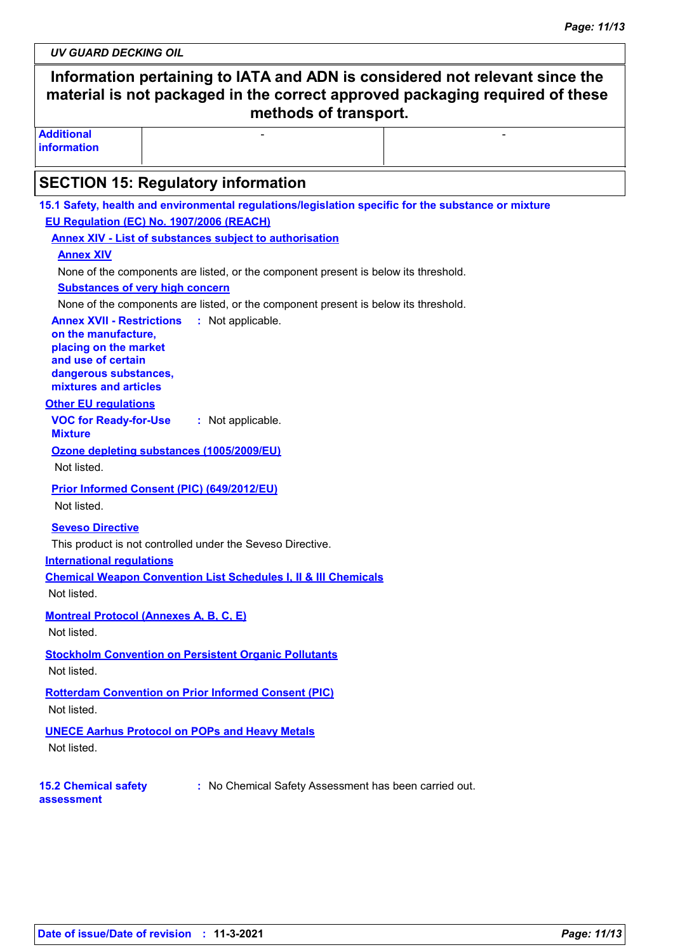*UV GUARD DECKING OIL*

# **Information pertaining to IATA and ADN is considered not relevant since the material is not packaged in the correct approved packaging required of these methods of transport.**

- Andrea Maria (1989), a construction of the construction of the construction of the construction of the construction of the construction of the construction of the construction of the construction of the construction of t

**Additional information**

### **SECTION 15: Regulatory information**

| 15.1 Safety, health and environmental regulations/legislation specific for the substance or mixture |
|-----------------------------------------------------------------------------------------------------|
| EU Regulation (EC) No. 1907/2006 (REACH)                                                            |
| <b>Annex XIV - List of substances subject to authorisation</b>                                      |
| <b>Annex XIV</b>                                                                                    |
| None of the components are listed, or the component present is below its threshold.                 |
| <b>Substances of very high concern</b>                                                              |
| None of the components are listed, or the component present is below its threshold.                 |
| <b>Annex XVII - Restrictions</b><br>: Not applicable.<br>on the manufacture,                        |
| placing on the market                                                                               |
| and use of certain                                                                                  |
| dangerous substances,<br>mixtures and articles                                                      |
| <b>Other EU regulations</b>                                                                         |
| <b>VOC for Ready-for-Use</b><br>: Not applicable.                                                   |
| <b>Mixture</b>                                                                                      |
| Ozone depleting substances (1005/2009/EU)                                                           |
| Not listed.                                                                                         |
| Prior Informed Consent (PIC) (649/2012/EU)                                                          |
| Not listed.                                                                                         |
| <b>Seveso Directive</b>                                                                             |
| This product is not controlled under the Seveso Directive.                                          |
| <b>International regulations</b>                                                                    |
| <b>Chemical Weapon Convention List Schedules I, II &amp; III Chemicals</b>                          |
| Not listed.                                                                                         |
| <b>Montreal Protocol (Annexes A, B, C, E)</b>                                                       |
| Not listed.                                                                                         |
| <b>Stockholm Convention on Persistent Organic Pollutants</b>                                        |
| Not listed.                                                                                         |
| <b>Rotterdam Convention on Prior Informed Consent (PIC)</b>                                         |
| Not listed.                                                                                         |
| <b>UNECE Aarhus Protocol on POPs and Heavy Metals</b>                                               |
| Not listed.                                                                                         |
|                                                                                                     |
| : No Chemical Safety Assessment has been carried out.<br><b>15.2 Chemical safety</b>                |
| assessment                                                                                          |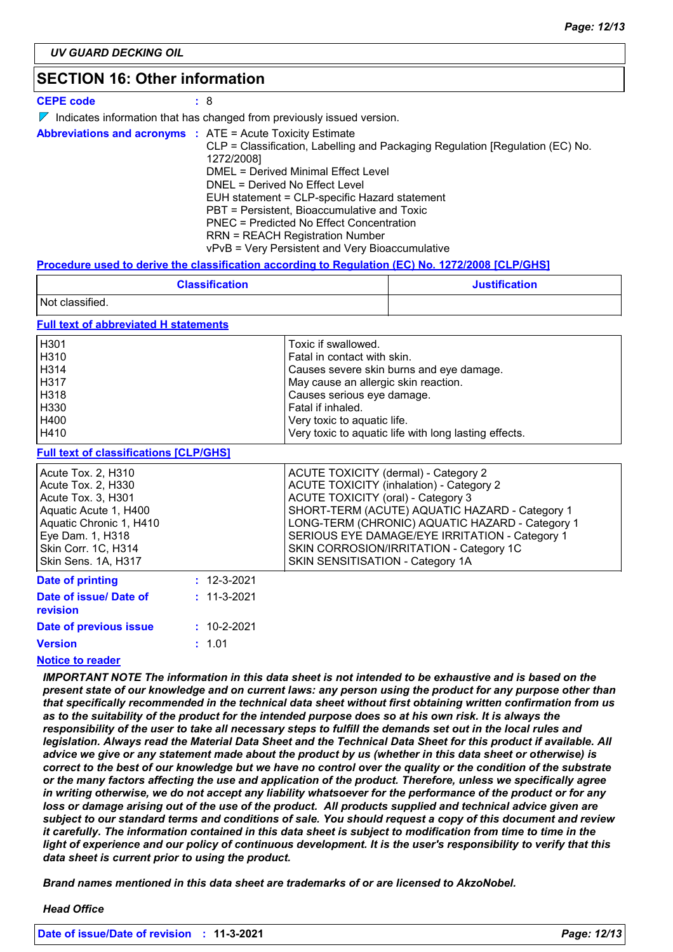### **SECTION 16: Other information**

| <b>CEPE code</b> | :8                                                                                                                                                                                                                                                                                                                                                                                                                                                                                 |
|------------------|------------------------------------------------------------------------------------------------------------------------------------------------------------------------------------------------------------------------------------------------------------------------------------------------------------------------------------------------------------------------------------------------------------------------------------------------------------------------------------|
|                  | $\triangleright$ Indicates information that has changed from previously issued version.                                                                                                                                                                                                                                                                                                                                                                                            |
|                  | <b>Abbreviations and acronyms : ATE = Acute Toxicity Estimate</b><br>CLP = Classification, Labelling and Packaging Regulation [Regulation (EC) No.<br>1272/2008]<br>DMEL = Derived Minimal Effect Level<br>DNEL = Derived No Effect Level<br>EUH statement = CLP-specific Hazard statement<br>PBT = Persistent, Bioaccumulative and Toxic<br>PNEC = Predicted No Effect Concentration<br><b>RRN = REACH Registration Number</b><br>vPvB = Very Persistent and Very Bioaccumulative |

#### **Procedure used to derive the classification according to Regulation (EC) No. 1272/2008 [CLP/GHS]**

| <b>Classification</b> | <b>Justification</b> |
|-----------------------|----------------------|
| Not classified.       |                      |

#### **Full text of abbreviated H statements**

| H <sub>301</sub> | Toxic if swallowed.                                   |
|------------------|-------------------------------------------------------|
| H310             | Fatal in contact with skin.                           |
| H314             | Causes severe skin burns and eye damage.              |
| H317             | May cause an allergic skin reaction.                  |
| H318             | Causes serious eye damage.                            |
| H330             | Fatal if inhaled.                                     |
| H400             | Very toxic to aquatic life.                           |
| H410             | Very toxic to aquatic life with long lasting effects. |

#### **Full text of classifications [CLP/GHS]**

| <u>. all toxt of oldoomodiform [OEI /OHO</u>                                                                                                                                         |                   |                                                                                                                                                                                                                                                                                                                                                                     |
|--------------------------------------------------------------------------------------------------------------------------------------------------------------------------------------|-------------------|---------------------------------------------------------------------------------------------------------------------------------------------------------------------------------------------------------------------------------------------------------------------------------------------------------------------------------------------------------------------|
| Acute Tox. 2, H310<br>Acute Tox. 2, H330<br>Acute Tox. 3, H301<br>Aquatic Acute 1, H400<br>Aquatic Chronic 1, H410<br>Eye Dam. 1, H318<br>Skin Corr. 1C, H314<br>Skin Sens. 1A, H317 |                   | ACUTE TOXICITY (dermal) - Category 2<br><b>ACUTE TOXICITY (inhalation) - Category 2</b><br>ACUTE TOXICITY (oral) - Category 3<br>SHORT-TERM (ACUTE) AQUATIC HAZARD - Category 1<br>LONG-TERM (CHRONIC) AQUATIC HAZARD - Category 1<br>SERIOUS EYE DAMAGE/EYE IRRITATION - Category 1<br>SKIN CORROSION/IRRITATION - Category 1C<br>SKIN SENSITISATION - Category 1A |
| <b>Date of printing</b>                                                                                                                                                              | $: 12 - 3 - 2021$ |                                                                                                                                                                                                                                                                                                                                                                     |
| Date of issue/ Date of<br><b>revision</b>                                                                                                                                            | $: 11 - 3 - 2021$ |                                                                                                                                                                                                                                                                                                                                                                     |

#### **Version Date of previous issue**

#### **Notice to reader**

*IMPORTANT NOTE The information in this data sheet is not intended to be exhaustive and is based on the present state of our knowledge and on current laws: any person using the product for any purpose other than that specifically recommended in the technical data sheet without first obtaining written confirmation from us as to the suitability of the product for the intended purpose does so at his own risk. It is always the responsibility of the user to take all necessary steps to fulfill the demands set out in the local rules and legislation. Always read the Material Data Sheet and the Technical Data Sheet for this product if available. All advice we give or any statement made about the product by us (whether in this data sheet or otherwise) is correct to the best of our knowledge but we have no control over the quality or the condition of the substrate or the many factors affecting the use and application of the product. Therefore, unless we specifically agree in writing otherwise, we do not accept any liability whatsoever for the performance of the product or for any*  loss or damage arising out of the use of the product. All products supplied and technical advice given are *subject to our standard terms and conditions of sale. You should request a copy of this document and review it carefully. The information contained in this data sheet is subject to modification from time to time in the light of experience and our policy of continuous development. It is the user's responsibility to verify that this data sheet is current prior to using the product.*

*Brand names mentioned in this data sheet are trademarks of or are licensed to AkzoNobel.*

1.01 **:**

**:** 10-2-2021

#### *Head Office*